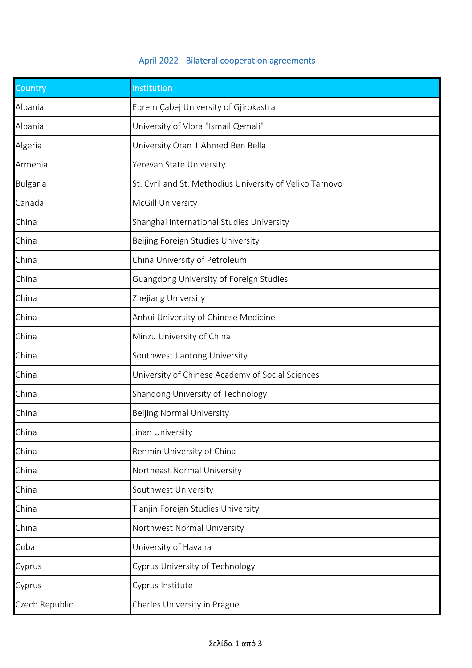## April 2022 - Bilateral cooperation agreements

| Country         | Institution                                              |
|-----------------|----------------------------------------------------------|
| Albania         | Eqrem Çabej University of Gjirokastra                    |
| Albania         | University of Vlora "Ismail Qemali"                      |
| Algeria         | University Oran 1 Ahmed Ben Bella                        |
| Armenia         | Yerevan State University                                 |
| <b>Bulgaria</b> | St. Cyril and St. Methodius University of Veliko Tarnovo |
| Canada          | McGill University                                        |
| China           | Shanghai International Studies University                |
| China           | Beijing Foreign Studies University                       |
| China           | China University of Petroleum                            |
| China           | Guangdong University of Foreign Studies                  |
| China           | Zhejiang University                                      |
| China           | Anhui University of Chinese Medicine                     |
| China           | Minzu University of China                                |
| China           | Southwest Jiaotong University                            |
| China           | University of Chinese Academy of Social Sciences         |
| China           | Shandong University of Technology                        |
| China           | <b>Beijing Normal University</b>                         |
| China           | Jinan University                                         |
| China           | Renmin University of China                               |
| China           | Northeast Normal University                              |
| China           | Southwest University                                     |
| China           | Tianjin Foreign Studies University                       |
| China           | Northwest Normal University                              |
| Cuba            | University of Havana                                     |
| Cyprus          | <b>Cyprus University of Technology</b>                   |
| Cyprus          | Cyprus Institute                                         |
| Czech Republic  | Charles University in Prague                             |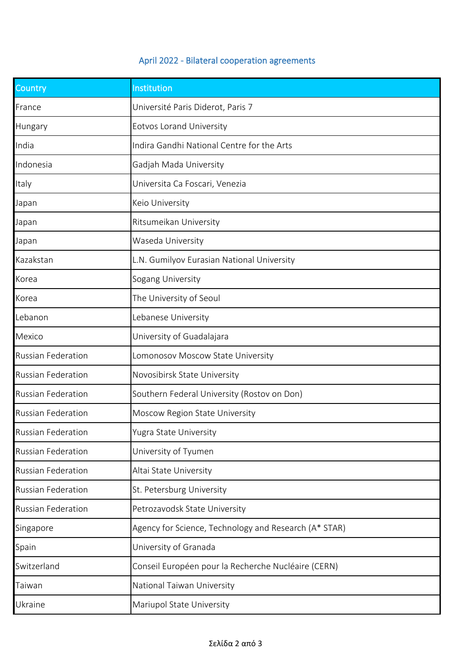## April 2022 - Bilateral cooperation agreements

| Country                   | Institution                                           |
|---------------------------|-------------------------------------------------------|
| France                    | Université Paris Diderot, Paris 7                     |
| Hungary                   | Eotvos Lorand University                              |
| India                     | Indira Gandhi National Centre for the Arts            |
| Indonesia                 | Gadjah Mada University                                |
| Italy                     | Universita Ca Foscari, Venezia                        |
| Japan                     | Keio University                                       |
| Japan                     | Ritsumeikan University                                |
| Japan                     | Waseda University                                     |
| Kazakstan                 | L.N. Gumilyov Eurasian National University            |
| Korea                     | Sogang University                                     |
| Korea                     | The University of Seoul                               |
| Lebanon                   | Lebanese University                                   |
| Mexico                    | University of Guadalajara                             |
| <b>Russian Federation</b> | Lomonosov Moscow State University                     |
| <b>Russian Federation</b> | Novosibirsk State University                          |
| <b>Russian Federation</b> | Southern Federal University (Rostov on Don)           |
| <b>Russian Federation</b> | Moscow Region State University                        |
| Russian Federation        | Yugra State University                                |
| <b>Russian Federation</b> | University of Tyumen                                  |
| <b>Russian Federation</b> | Altai State University                                |
| <b>Russian Federation</b> | St. Petersburg University                             |
| <b>Russian Federation</b> | Petrozavodsk State University                         |
| Singapore                 | Agency for Science, Technology and Research (A* STAR) |
| Spain                     | University of Granada                                 |
| Switzerland               | Conseil Européen pour la Recherche Nucléaire (CERN)   |
| Taiwan                    | National Taiwan University                            |
| Ukraine                   | Mariupol State University                             |